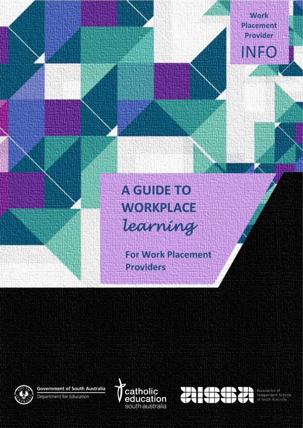**Work Placement Provider** INFO

# **A GUIDE TO WORKPLACE** *learning*

**For Work Placement Providers**

`

**Government of South Australia** Department for Education





Association of Independent Schools<br>of South Australia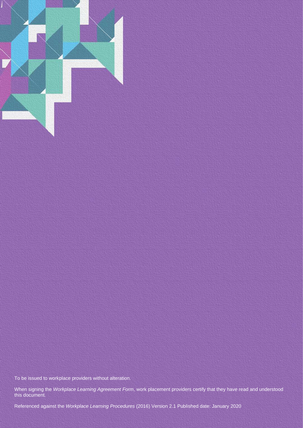

To be issued to workplace providers without alteration.

When signing the *Workplace Learning Agreement Form*, work placement providers certify that they have read and understood this document.

Referenced against the *Workplace Learning Procedures* (2016) Version 2.1 Published date: January 2020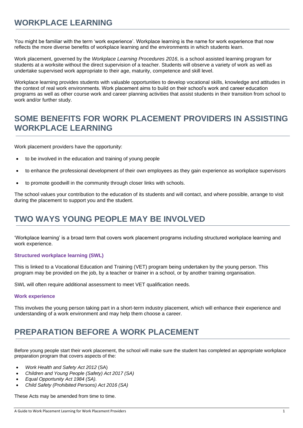# **WORKPLACE LEARNING**

You might be familiar with the term 'work experience'. Workplace learning is the name for work experience that now reflects the more diverse benefits of workplace learning and the environments in which students learn.

Work placement, governed by the *Workplace Learning Procedures 2016*, is a school assisted learning program for students at a worksite without the direct supervision of a teacher. Students will observe a variety of work as well as undertake supervised work appropriate to their age, maturity, competence and skill level.

Workplace learning provides students with valuable opportunities to develop vocational skills, knowledge and attitudes in the context of real work environments. Work placement aims to build on their school's work and career education programs as well as other course work and career planning activities that assist students in their transition from school to work and/or further study.

### **SOME BENEFITS FOR WORK PLACEMENT PROVIDERS IN ASSISTING WORKPLACE LEARNING**

Work placement providers have the opportunity:

- to be involved in the education and training of young people
- to enhance the professional development of their own employees as they gain experience as workplace supervisors
- to promote goodwill in the community through closer links with schools.

The school values your contribution to the education of its students and will contact, and where possible, arrange to visit during the placement to support you and the student.

### **TWO WAYS YOUNG PEOPLE MAY BE INVOLVED**

'Workplace learning' is a broad term that covers work placement programs including structured workplace learning and work experience.

#### **Structured workplace learning (SWL)**

This is linked to a Vocational Education and Training (VET) program being undertaken by the young person. This program may be provided on the job, by a teacher or trainer in a school, or by another training organisation.

SWL will often require additional assessment to meet VET qualification needs.

#### **Work experience**

This involves the young person taking part in a short-term industry placement, which will enhance their experience and understanding of a work environment and may help them choose a career.

# **PREPARATION BEFORE A WORK PLACEMENT**

Before young people start their work placement, the school will make sure the student has completed an appropriate workplace preparation program that covers aspects of the:

- *Work Health and Safety Act 2012* (SA)
- *Children and Young People (Safety) Act 2017 (SA)*
- *Equal Opportunity Act 1984 (SA).*
- *Child Safety (Prohibited Persons) Act 2016 (SA)*

These Acts may be amended from time to time.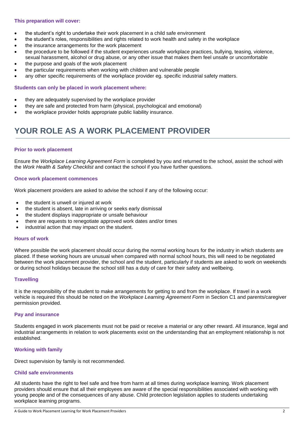#### **This preparation will cover:**

- the student's right to undertake their work placement in a child safe environment
- the student's roles, responsibilities and rights related to work health and safety in the workplace
- the insurance arrangements for the work placement
- the procedure to be followed if the student experiences unsafe workplace practices, bullying, teasing, violence, sexual harassment, alcohol or drug abuse, or any other issue that makes them feel unsafe or uncomfortable
- the purpose and goals of the work placement
- the particular requirements when working with children and vulnerable people
- any other specific requirements of the workplace provider eq. specific industrial safety matters.

#### **Students can only be placed in work placement where:**

- they are adequately supervised by the workplace provider
- they are safe and protected from harm (physical, psychological and emotional)
- the workplace provider holds appropriate public liability insurance.

### **YOUR ROLE AS A WORK PLACEMENT PROVIDER**

#### **Prior to work placement**

Ensure the *Workplace Learning Agreement Form* is completed by you and returned to the school, assist the school with the *Work Health & Safety Checklist* and contact the school if you have further questions.

#### **Once work placement commences**

Work placement providers are asked to advise the school if any of the following occur:

- the student is unwell or injured at work
- the student is absent, late in arriving or seeks early dismissal
- the student displays inappropriate or unsafe behaviour
- there are requests to renegotiate approved work dates and/or times
- industrial action that may impact on the student.

#### **Hours of work**

Where possible the work placement should occur during the normal working hours for the industry in which students are placed. If these working hours are unusual when compared with normal school hours, this will need to be negotiated between the work placement provider, the school and the student, particularly if students are asked to work on weekends or during school holidays because the school still has a duty of care for their safety and wellbeing.

#### **Travelling**

It is the responsibility of the student to make arrangements for getting to and from the workplace. If travel in a work vehicle is required this should be noted on the *Workplace Learning Agreement Form* in Section C1 and parents/caregiver permission provided.

#### **Pay and insurance**

Students engaged in work placements must not be paid or receive a material or any other reward. All insurance, legal and industrial arrangements in relation to work placements exist on the understanding that an employment relationship is not established.

#### **Working with family**

Direct supervision by family is not recommended.

#### **Child safe environments**

All students have the right to feel safe and free from harm at all times during workplace learning. Work placement providers should ensure that all their employees are aware of the special responsibilities associated with working with young people and of the consequences of any abuse. Child protection legislation applies to students undertaking workplace learning programs.